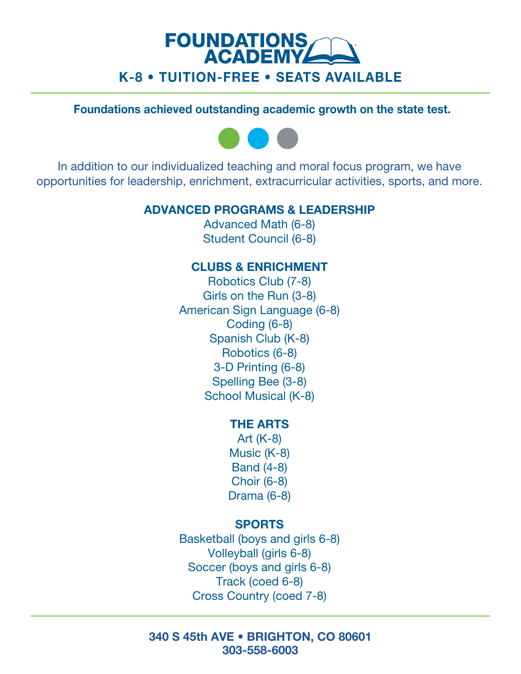# **FOUNDATIONS**<br>ACADEMY K-8 • TUITION-FREE • SEATS AVAILABLE

## Foundations BDIJFWFE PVUTUBOEJOH academic HSPXUI PO L



In addition to our individualized teaching and moral focus program, we have opportunities for leadership, enrichment, extracurricular activities, sports, and more.

## ADVANCED PROGRAMS & LEADERSHIP

Advanced Math (6-8) Student Council (6-8)

## CLUBS & ENRICHMENT

 School Musical (K-8) Robotics Club (7-8) Girls on the Run (3-8) American Sign Language (6-8) Coding (6-8) Spanish Club (K-8) Robotics (6-8) 3-D Printing (6-8) Spelling Bee (3-8)

#### THE ARTS

Art (K-8) Music (K-8) Band (4-8) Choir (6-8) Drama (6-8)

## SPORTS

Basketball (boys and girls 6-8) Volleyball (girls 6-8) Soccer (boys and girls 6-8) Track (coed 6-8) Cross Country (coed 7-8)

#### 340 S 45th AVE • BRIGHTON, CO 80601 303-558-6003